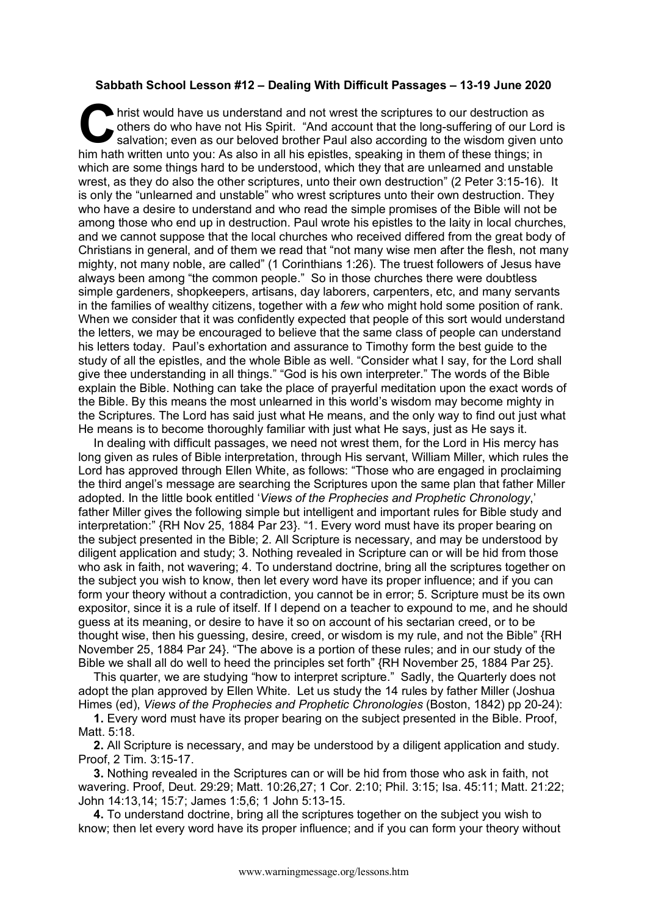## **Sabbath School Lesson #12 – Dealing With Difficult Passages – 13-19 June 2020**

hrist would have us understand and not wrest the scriptures to our destruction as others do who have not His Spirit. "And account that the long-suffering of our Lor salvation; even as our beloved brother Paul also accordin others do who have not His Spirit. "And account that the long-suffering of our Lord is salvation; even as our beloved brother Paul also according to the wisdom given unto him hath written unto you: As also in all his epistles, speaking in them of these things; in which are some things hard to be understood, which they that are unlearned and unstable wrest, as they do also the other scriptures, unto their own destruction" (2 Peter 3:15-16). It is only the "unlearned and unstable" who wrest scriptures unto their own destruction. They who have a desire to understand and who read the simple promises of the Bible will not be among those who end up in destruction. Paul wrote his epistles to the laity in local churches, and we cannot suppose that the local churches who received differed from the great body of Christians in general, and of them we read that "not many wise men after the flesh, not many mighty, not many noble, are called" (1 Corinthians 1:26). The truest followers of Jesus have always been among "the common people." So in those churches there were doubtless simple gardeners, shopkeepers, artisans, day laborers, carpenters, etc, and many servants in the families of wealthy citizens, together with a *few* who might hold some position of rank. When we consider that it was confidently expected that people of this sort would understand the letters, we may be encouraged to believe that the same class of people can understand his letters today. Paul's exhortation and assurance to Timothy form the best guide to the study of all the epistles, and the whole Bible as well. "Consider what I say, for the Lord shall give thee understanding in all things." "God is his own interpreter." The words of the Bible explain the Bible. Nothing can take the place of prayerful meditation upon the exact words of the Bible. By this means the most unlearned in this world's wisdom may become mighty in the Scriptures. The Lord has said just what He means, and the only way to find out just what He means is to become thoroughly familiar with just what He says, just as He says it.

In dealing with difficult passages, we need not wrest them, for the Lord in His mercy has long given as rules of Bible interpretation, through His servant, William Miller, which rules the Lord has approved through Ellen White, as follows: "Those who are engaged in proclaiming the third angel's message are searching the Scriptures upon the same plan that father Miller adopted. In the little book entitled '*Views of the Prophecies and Prophetic Chronology*,' father Miller gives the following simple but intelligent and important rules for Bible study and interpretation:" {RH Nov 25, 1884 Par 23}. "1. Every word must have its proper bearing on the subject presented in the Bible; 2. All Scripture is necessary, and may be understood by diligent application and study; 3. Nothing revealed in Scripture can or will be hid from those who ask in faith, not wavering; 4. To understand doctrine, bring all the scriptures together on the subject you wish to know, then let every word have its proper influence; and if you can form your theory without a contradiction, you cannot be in error; 5. Scripture must be its own expositor, since it is a rule of itself. If I depend on a teacher to expound to me, and he should guess at its meaning, or desire to have it so on account of his sectarian creed, or to be thought wise, then his guessing, desire, creed, or wisdom is my rule, and not the Bible" {RH November 25, 1884 Par 24}. "The above is a portion of these rules; and in our study of the Bible we shall all do well to heed the principles set forth" {RH November 25, 1884 Par 25}.

This quarter, we are studying "how to interpret scripture." Sadly, the Quarterly does not adopt the plan approved by Ellen White. Let us study the 14 rules by father Miller (Joshua Himes (ed), *Views of the Prophecies and Prophetic Chronologies* (Boston, 1842) pp 20-24):

**1.** Every word must have its proper bearing on the subject presented in the Bible. Proof, Matt. 5:18.

**2.** All Scripture is necessary, and may be understood by a diligent application and study. Proof, 2 Tim. 3:15-17.

**3.** Nothing revealed in the Scriptures can or will be hid from those who ask in faith, not wavering. Proof, Deut. 29:29; Matt. 10:26,27; 1 Cor. 2:10; Phil. 3:15; Isa. 45:11; Matt. 21:22; John 14:13,14; 15:7; James 1:5,6; 1 John 5:13-15.

**4.** To understand doctrine, bring all the scriptures together on the subject you wish to know; then let every word have its proper influence; and if you can form your theory without